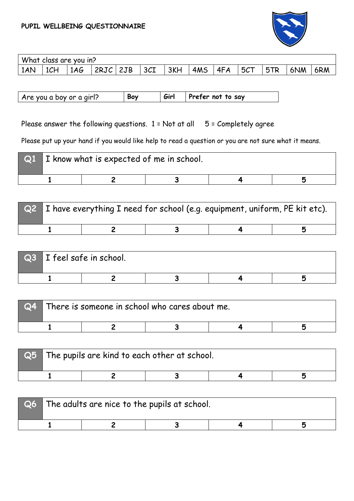

|             | What class are you in? |     |            |  |     |     |     |     |     |     |      |         |
|-------------|------------------------|-----|------------|--|-----|-----|-----|-----|-----|-----|------|---------|
| $1AN$ $1CH$ |                        | 1AG | 2RJC   2JB |  | 3CI | 3KH | 4MS | 4FA | 5CT | 5TR | 16NM | $16$ RM |

| Are you a boy or a girl? | Boy | $ $ Girl | $\mathsf{I}$ Prefer not to say |
|--------------------------|-----|----------|--------------------------------|
|                          |     |          |                                |

## Please answer the following questions.  $1 = Not$  at all  $5 =$  Completely agree

Please put up your hand if you would like help to read a question or you are not sure what it means.

|  | $\overline{Q1}$ I know what is expected of me in school. |  |  |  |  |  |  |  |  |
|--|----------------------------------------------------------|--|--|--|--|--|--|--|--|
|  |                                                          |  |  |  |  |  |  |  |  |

|  |  | $\mid$ Q2 $\mid$ I have everything I need for school (e.g. equipment, uniform, PE kit etc). |  |
|--|--|---------------------------------------------------------------------------------------------|--|
|  |  |                                                                                             |  |

| Q3   I feel safe in school. |  |  |
|-----------------------------|--|--|
|                             |  |  |

|  | $\overline{Q4}$ There is someone in school who cares about me. |  |
|--|----------------------------------------------------------------|--|
|  |                                                                |  |

|  | $\sqrt{Q5}$ The pupils are kind to each other at school. |  |
|--|----------------------------------------------------------|--|
|  |                                                          |  |

|  |  | $\overline{Q6}$ The adults are nice to the pupils at school. |  |  |  |  |  |  |
|--|--|--------------------------------------------------------------|--|--|--|--|--|--|
|  |  |                                                              |  |  |  |  |  |  |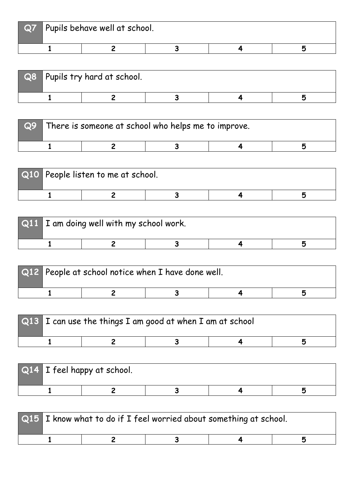| <b>Q7</b> | Pupils behave well at school. |  |  |
|-----------|-------------------------------|--|--|
|           |                               |  |  |

| Q8 Pupils try hard at school. |  |  |
|-------------------------------|--|--|
|                               |  |  |

| $\overline{O9}$ | $\blacktriangle$ There is someone at school who helps me to improve. |  |  |
|-----------------|----------------------------------------------------------------------|--|--|
|                 |                                                                      |  |  |

| Q10 People listen to me at school. |  |  |
|------------------------------------|--|--|
|                                    |  |  |

| $\boxed{\text{Q11}}$ I am doing well with my school work. |  |  |  |  |  |  |
|-----------------------------------------------------------|--|--|--|--|--|--|
|                                                           |  |  |  |  |  |  |

|  | Q12 People at school notice when I have done well. |  |  |  |  |  |
|--|----------------------------------------------------|--|--|--|--|--|
|  |                                                    |  |  |  |  |  |

| $\boxed{\text{Q13}}$ $\boxed{\text{I}}$ can use the things $\boxed{\text{I}}$ am good at when $\boxed{\text{I}}$ am at school |  |  |
|-------------------------------------------------------------------------------------------------------------------------------|--|--|
|                                                                                                                               |  |  |

| $\boxed{\text{Q14}}$ I feel happy at school. |  |  |
|----------------------------------------------|--|--|
|                                              |  |  |

|  |  | Q15   I know what to do if I feel worried about something at school. |  |
|--|--|----------------------------------------------------------------------|--|
|  |  |                                                                      |  |